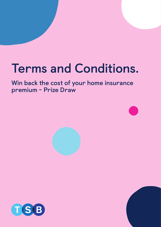# **Terms and Conditions.**

# **Win back the cost of your home insurance premium - Prize Draw**



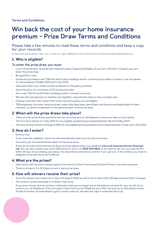**Terms and Conditions.**

## **Win back the cost of your home insurance premium - Prize Draw Terms and Conditions**

Please take a few minutes to read these terms and conditions and keep a copy for your records.

In these terms and conditions, "TSB", "we", "us" and "our" means TSB Bank plc, Henry Duncan House, 120 George Street, Edinburgh EH2 4LH.

#### 1. Who is eligible?

#### **To enter the prize draw, you must:**

- Live in Great Britain. Great Britain means Scotland, England and Wales. If you live in Northern Ireland, you can't enter the prize draw.
- Be aged 16 or over.
- Quote and purchase a new TSB Pick and Protect buildings and/or contents policy either in branch, over the phone or online between 16 May 2022 and 4 July 2022.
- Have paid either your initial monthly instalment or full policy premium.
- Have the policy for a minimum of 30 consecutive days.
- Are a new TSB Pick and Protect buildings and/or contents customer.
- We have the sole decision on whether any eligibility requirements have or have not been met.
- Existing customers who renew their home insurance policy are not eligible.
- TSB employees can enter the prize draw, unless they have been specifically told they are excluded based on their role and / or direct involvement in the administration of the prize draw.

#### 2.When will the prize draws take place?

- There are two prize draws and which one you are entered in to will depend on when you take out your policy.
- The first draw will be on 1 July 2022 for any eligible quoted and purchased between 16 and 31 May 2022.
- The second draw will be on 8 August 2022 for any eligible policies quoted and purchased between 1 June and 4 July 2022.

#### 3.How do I enter?

- Entry is free.
- If you meet the eligibility criteria we will automatically enter you into the prize draw.
- One entry per household will be made into the prize draw.
- If you do not want to be entered into the prize draw, please enter your details at tsb.co.uk/insurance/prize-draw/optout. You can also contact your local TSB branch or call us on 0345 030 8815. If you want to opt out, you must do this within 30 days of purchasing your policy. You may still be selected as a winner if you opt-out, in this instance you have no obligation to accept the prize if offered.

#### 4.What are the prizes?

- Each winner will receive a cheque equal to the amount of their first annual Pick and Protect insurance premium.
- There is at least a 1 in 10 chance to win in each prize draw.

#### 5.How will winners receive their prize?

- Once the winners are chosen (on 1 July or 8 August 2022) we will write to them within 30 days and send them a cheque.
- The winners cannot exchange or transfer their prize.
- If you are a winner and we receive a notification that you no longer live at the address we have for you, we will try to contact you via Telephone. If we can't get in touch with you by Telephone we'll offer the prize to an alternative winner. If after 6 months, we have failed to get in contact with you, we have the right to withdraw the prize.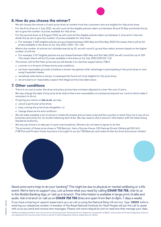

#### 6.How do you choose the winner?

- We will choose the winners of each prize draw at random from the customers who are eligible for that prize draw.
- For the first draw on 1 July 2022, we will count all the eligible policies taken out between 16 and 31 May and divide this by ten to give the number of prizes available for that draw.
- For the second draw on 8 August 2022 we will count all the eligible policies taken out between 1 June and 4 July and divide this by ten to give the number of prizes available for that draw.
	- o For example, if 100 eligible policies are purchased between 16th May and 31st May 2022 this means there will be 10 prizes available in the draw on 1st July 2022. (100 / 10 = 10)
- Where the number of entries isn't divisible exactly by 10, we will round it up and then select winners based on the higher number of entries.
	- o For example, if 117 eligible policies are purchased between 16th May and 31st May 2022 we will round this up to 120. This means there will be 12 prizes available in the draw on 1st July 2022 (120/10 = 12)
- The winner will forfeit their prize and we will donate it to charities supported by TSB if:
	- o a winner is in breach of these terms and conditions.
	- o we have reasonable grounds to believe a winner has gained unfair advantage in participating in the prize draw or won using fraudulent means.
	- o somebody selected as a winner is subsequently found not to be eligible for the prize draw.
	- o we are aware or reasonably suspect that illegal activity has taken place.

#### 7. Other conditions

- There is no cost to enter the draw and policy prices have not been adjusted to cover the cost of entry.
- We may change the date of any prize draw where there are unavoidable circumstances beyond our control which make it necessary to do so.
- On giving you notice on **tsb.co.uk**, we may:
	- o cancel a particular prize draw;
	- o stop running the prize draw altogether; or
	- o change these terms and conditions.
- We will make available a list of winners' initials (forename and surname only) and the counties in which they live in any of our branches and online for six months following each draw. We may need to share winners' information with the Advertising Standards Authority.
- We may ask winners to take part in post-event publicity. Winners do not have to agree to do this.
- The promoter of these prize draws is TSB Bank plc, Henry Duncan House, 120 George Street, Edinburgh EH2 4LH (TSB Pick and Protect home insurance is brought to you by TSB Bank plc and underwritten by Aviva Insurance Limited.)





Need some extra help to do your banking? This might be due to physical or mental wellbeing or a life event. We're here to support you. Let us know what you need by calling 03459 758 758, chat to us in the Mobile Banking App, or visit us in branch. This information is available in large print, braille and audio. Ask in branch or call us on 03459 758 758 (lines are open from 8am to 8pm, 7 days a week). If you have a hearing or speech impairment you can call us using the National Relay UK service. Type '18001' before entering our telephone number. A member of the Royal National Institute for Deaf People will join the call to speak with us as you send and receive text messages. Please visit www.relayuk.bt.com to read how they manage your data.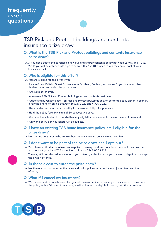### **frequently asked questions**

## TSB Pick and Protect buildings and contents insurance prize draw

#### **Q. What is the TSB Pick and Protect buildings and contents insurance prize draw?**

A. If you get a quote and purchase a new building and/or contents policy between 16 May and 4 July 2022, you will be entered into a prize draw with a 1 in 10 chance to win the annual cost of your insurance back.

#### **Q. Who is eligible for this offer?**

A. You are eligible for this offer if you:

- Live in Great Britain. Great Britain means Scotland, England, and Wales. If you live in Northern Ireland, you can't enter the prize draw.
- Are aged 16 or over.
- Are a new TSB Pick and Protect buildings and/or contents customer.
- Quote and purchase a new TSB Pick and Protect buildings and/or contents policy either in branch, over the phone or online between 16 May 2022 and 4 July 2022.
- Have paid either your initial monthly instalment or full policy premium.
- Hold the policy for a minimum of 30 consecutive days.
- We have the sole decision on whether any eligibility requirements have or have not been met.
- Only one entry per household will be eligible.

#### **Q. I have an existing TSB home insurance policy, am I eligible for the prize draw?**

A. No, existing customers who renew their home insurance policy are not eligible.

#### **Q. I don't want to be part of the prize draw, can I opt-out?**

A. Yes, please visit tsb.co.uk/insurance/prize-draw/opt-out and complete the short form. You can also contact your local TSB branch or call us on 0345 030 8815.

You may still be selected as a winner if you opt-out, in this instance you have no obligation to accept the prize if offered.

#### **Q. Is there a cost to enter the prize draw?**

A. No, there is no cost to enter the draw and policy prices have not been adjusted to cover the cost of entry.

#### **Q. What if I cancel my insurance?**

A. We understand circumstances change and you may decide to cancel your insurance. If you cancel the policy within 30 days of purchase, you'll no longer be eligible for entry into the prize draw.